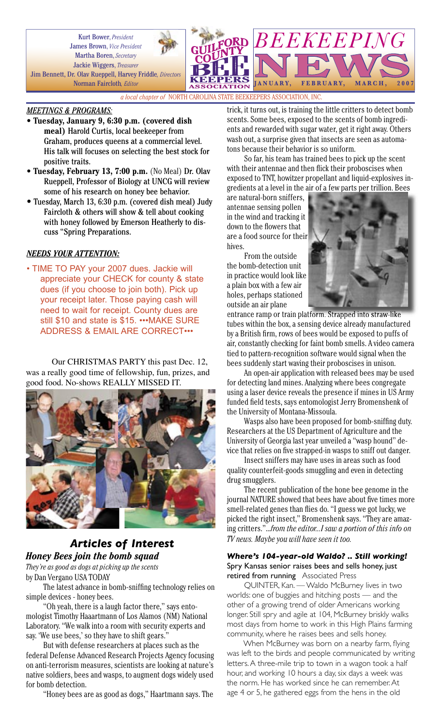Kurt Bower, *President* James Brown, *Vice President* Martha Boren, *Secretary* Jackie Wiggers, *Treasurer* Jim Bennett, Dr. Olav Rueppell, Harvey Friddle*, Directors* Norman Faircloth*, Editor*

**BEEKEEPING** JANUARY, FEBRUARY, MARCH, 200

*a local chapter of* NORTH CAROLINA STATE BEEKEEPERS ASSOCIATION, INC.

### *MEETINGS & PROGRAMS:*

- **Tuesday, January 9, 6:30 p.m. (covered dish meal)** Harold Curtis, local beekeeper from Graham, produces queens at a commercial level. His talk will focuses on selecting the best stock for positive traits.
- **Tuesday, February 13, 7:00 p.m.** (No Meal) Dr. Olav Rueppell, Professor of Biology at UNCG will review some of his research on honey bee behavior.
- Tuesday, March 13, 6:30 p.m. (covered dish meal) Judy Faircloth & others will show & tell about cooking with honey followed by Emerson Heatherly to discuss "Spring Preparations.

## *NEEDS YOUR ATTENTION:*

• TIME TO PAY your 2007 dues. Jackie will appreciate your CHECK for county & state dues (if you choose to join both). Pick up your receipt later. Those paying cash will need to wait for receipt. County dues are still \$10 and state is \$15. •••MAKE SURE ADDRESS & EMAIL ARE CORRECT•••

Our CHRISTMAS PARTY this past Dec. 12, was a really good time of fellowship, fun, prizes, and good food. No-shows REALLY MISSED IT.



# *Articles of Interest Honey Bees join the bomb squad*

*They're as good as dogs at picking up the scents* by Dan Vergano USA TODAY

The latest advance in bomb-sniffing technology relies on simple devices - honey bees.

"Oh yeah, there is a laugh factor there," says entomologist Timothy Haaartmann of Los Alamos (NM) National Laboratory. "We walk into a room with security experts and say. 'We use bees,' so they have to shift gears."

But with defense researchers at places such as the federal Defense Advanced Research Projects Agency focusing on anti-terrorism measures, scientists are looking at nature's native soldiers, bees and wasps, to augment dogs widely used for bomb detection.

"Honey bees are as good as dogs," Haartmann says. The

trick, it turns out, is training the little critters to detect bomb scents. Some bees, exposed to the scents of bomb ingredients and rewarded with sugar water, get it right away. Others wash out, a surprise given that insects are seen as automatons because their behavior is so uniform.

So far, his team has trained bees to pick up the scent with their antennae and then flick their proboscises when exposed to TNT, howitzer propellant and liquid-explosives ingredients at a level in the air of a few parts per trillion. Bees

are natural-born sniffers, antennae sensing pollen in the wind and tracking it down to the flowers that are a food source for their hives.

From the outside the bomb-detection unit in practice would look like a plain box with a few air holes, perhaps stationed outside an air plane



entrance ramp or train platform. Strapped into straw-like tubes within the box, a sensing device already manufactured by a British firm, rows of bees would be exposed to puffs of air, constantly checking for faint bomb smells. A video camera tied to pattern-recognition software would signal when the bees suddenly start waving their proboscises in unison.

An open-air application with released bees may be used for detecting land mines. Analyzing where bees congregate using a laser device reveals the presence if mines in US Army funded field tests, says entomologist Jerry Bromenshenk of the University of Montana-Missoula.

Wasps also have been proposed for bomb-sniffing duty. Researchers at the US Department of Agriculture and the University of Georgia last year unveiled a "wasp hound" device that relies on five strapped-in wasps to sniff out danger.

Insect sniffers may have uses in areas such as food quality counterfeit-goods smuggling and even in detecting drug smugglers.

The recent publication of the hone bee genome in the journal NATURE showed that bees have about five times more smell-related genes than flies do. "I guess we got lucky, we picked the right insect," Bromenshenk says. "They are amazing critters."...*from the editor...I saw a portion of this info on TV news. Maybe you will have seen it too.*

#### *Where's 104-year-old Waldo? .. Still working!* Spry Kansas senior raises bees and sells honey, just retired from running Associated Press

QUINTER, Kan. — Waldo McBurney lives in two worlds: one of buggies and hitching posts — and the other of a growing trend of older Americans working longer. Still spry and agile at 104, McBurney briskly walks most days from home to work in this High Plains farming community, where he raises bees and sells honey.

When McBurney was born on a nearby farm, flying was left to the birds and people communicated by writing letters. A three-mile trip to town in a wagon took a half hour, and working 10 hours a day, six days a week was the norm. He has worked since he can remember. At age 4 or 5, he gathered eggs from the hens in the old